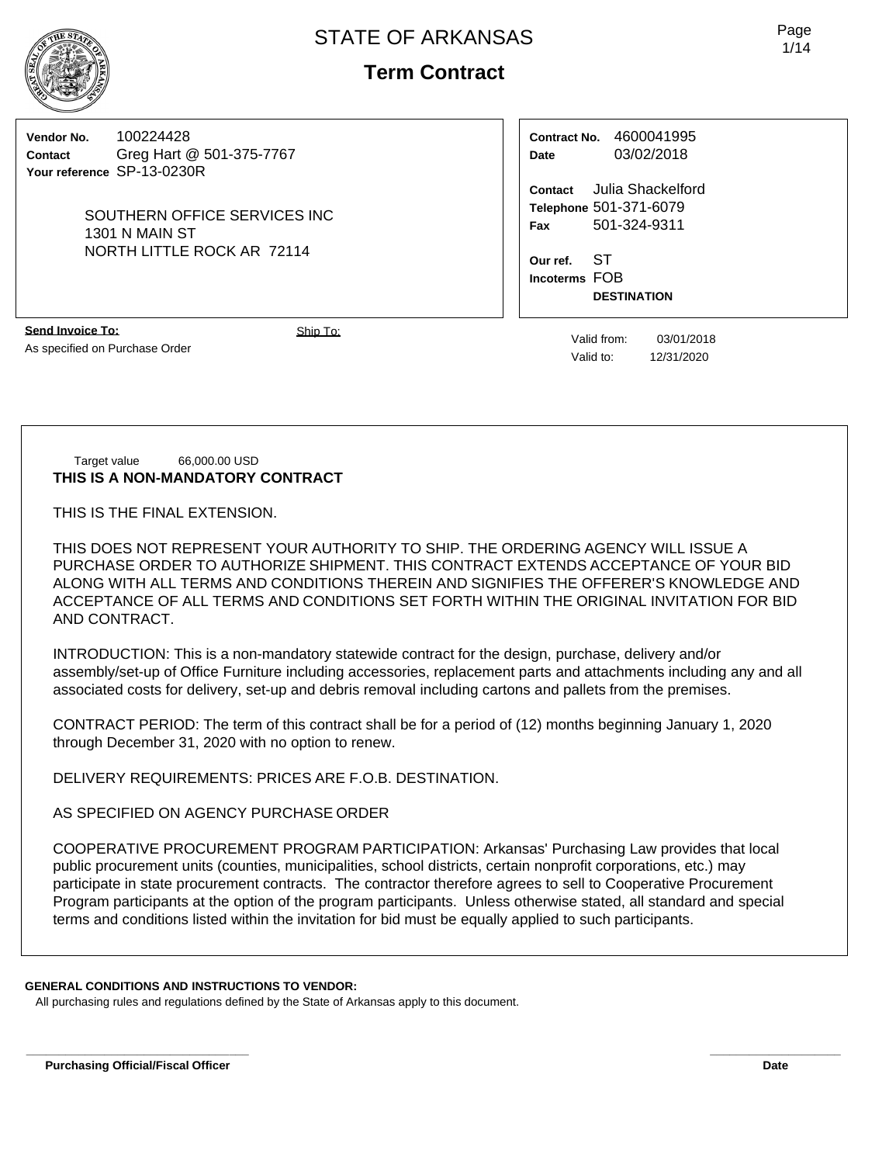**Term Contract**

**Vendor No.** 100224428 **Contact** Greg Hart @ 501-375-7767 **Your reference** SP-13-0230R

> SOUTHERN OFFICE SERVICES INC 1301 N MAIN ST NORTH LITTLE ROCK AR 72114

**Contract No.** 4600041995 **Date** 03/02/2018

**Contact** Julia Shackelford **Telephone** 501-371-6079 **Fax** 501-324-9311

**Our ref.** ST **Incoterms** FOB **DESTINATION**

**Send Invoice To:** As specified on Purchase Order

Ship To: Ship To: Valid from: 03/01/2018 Valid to: 12/31/2020

#### Target value 66,000.00 USD **THIS IS A NON-MANDATORY CONTRACT**

THIS IS THE FINAL EXTENSION.

THIS DOES NOT REPRESENT YOUR AUTHORITY TO SHIP. THE ORDERING AGENCY WILL ISSUE A PURCHASE ORDER TO AUTHORIZE SHIPMENT. THIS CONTRACT EXTENDS ACCEPTANCE OF YOUR BID ALONG WITH ALL TERMS AND CONDITIONS THEREIN AND SIGNIFIES THE OFFERER'S KNOWLEDGE AND ACCEPTANCE OF ALL TERMS AND CONDITIONS SET FORTH WITHIN THE ORIGINAL INVITATION FOR BID AND CONTRACT.

INTRODUCTION: This is a non-mandatory statewide contract for the design, purchase, delivery and/or assembly/set-up of Office Furniture including accessories, replacement parts and attachments including any and all associated costs for delivery, set-up and debris removal including cartons and pallets from the premises.

CONTRACT PERIOD: The term of this contract shall be for a period of (12) months beginning January 1, 2020 through December 31, 2020 with no option to renew.

DELIVERY REQUIREMENTS: PRICES ARE F.O.B. DESTINATION.

AS SPECIFIED ON AGENCY PURCHASE ORDER

COOPERATIVE PROCUREMENT PROGRAM PARTICIPATION: Arkansas' Purchasing Law provides that local public procurement units (counties, municipalities, school districts, certain nonprofit corporations, etc.) may participate in state procurement contracts. The contractor therefore agrees to sell to Cooperative Procurement Program participants at the option of the program participants. Unless otherwise stated, all standard and special terms and conditions listed within the invitation for bid must be equally applied to such participants.

## **GENERAL CONDITIONS AND INSTRUCTIONS TO VENDOR:**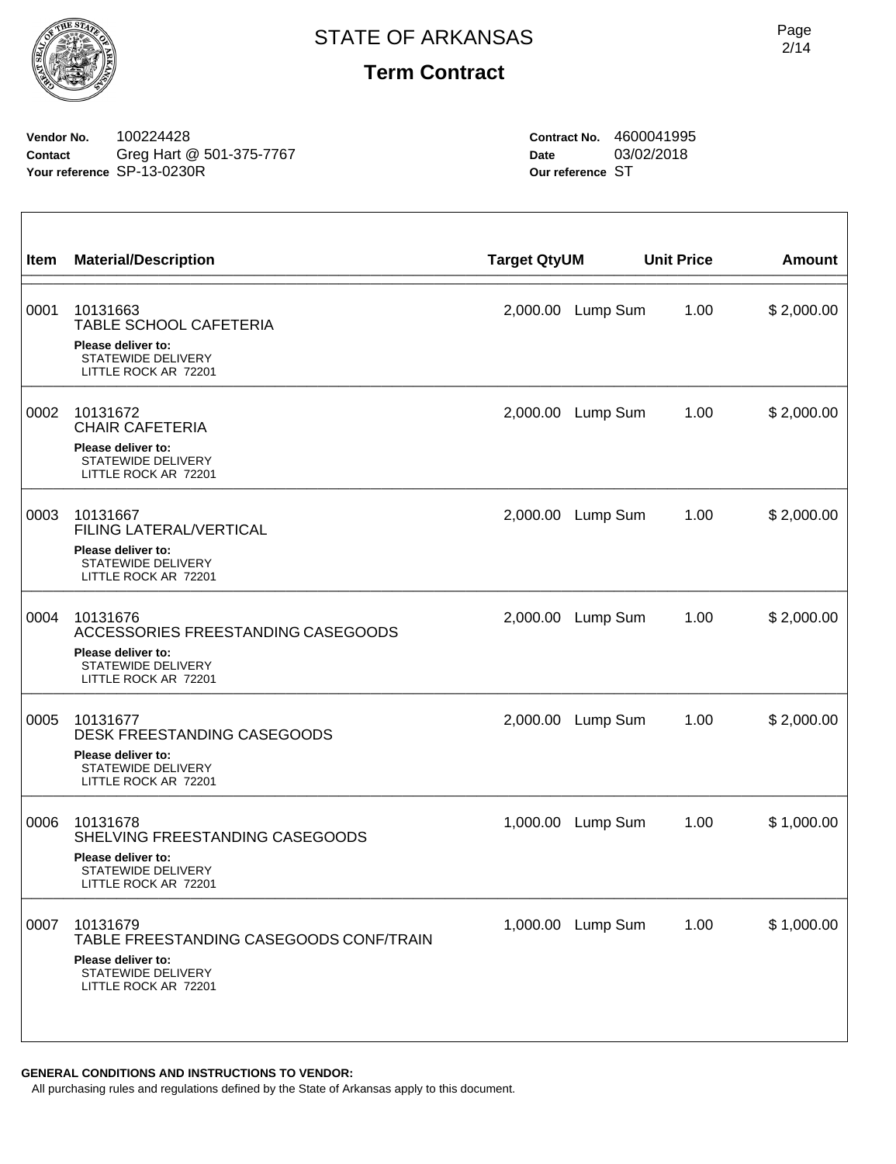

**Vendor No.** 100224428 **Contact** Greg Hart @ 501-375-7767 **Your reference** SP-13-0230R

**Contract No.** 4600041995 **Date** 03/02/2018 **Our reference** ST

| Item | <b>Material/Description</b>                                                                                                    | <b>Target QtyUM</b> |          | <b>Unit Price</b> | <b>Amount</b> |
|------|--------------------------------------------------------------------------------------------------------------------------------|---------------------|----------|-------------------|---------------|
| 0001 | 10131663<br>TABLE SCHOOL CAFETERIA<br>Please deliver to:<br><b>STATEWIDE DELIVERY</b><br>LITTLE ROCK AR 72201                  | 2,000.00            | Lump Sum | 1.00              | \$2,000.00    |
| 0002 | 10131672<br><b>CHAIR CAFETERIA</b><br>Please deliver to:<br>STATEWIDE DELIVERY<br>LITTLE ROCK AR 72201                         | 2,000.00            | Lump Sum | 1.00              | \$2,000.00    |
| 0003 | 10131667<br><b>FILING LATERAL/VERTICAL</b><br>Please deliver to:<br>STATEWIDE DELIVERY<br>LITTLE ROCK AR 72201                 | 2,000.00            | Lump Sum | 1.00              | \$2,000.00    |
| 0004 | 10131676<br>ACCESSORIES FREESTANDING CASEGOODS<br>Please deliver to:<br><b>STATEWIDE DELIVERY</b><br>LITTLE ROCK AR 72201      | 2,000.00            | Lump Sum | 1.00              | \$2,000.00    |
| 0005 | 10131677<br><b>DESK FREESTANDING CASEGOODS</b><br>Please deliver to:<br>STATEWIDE DELIVERY<br>LITTLE ROCK AR 72201             | 2,000.00            | Lump Sum | 1.00              | \$2,000.00    |
| 0006 | 10131678<br>SHELVING FREESTANDING CASEGOODS<br>Please deliver to:<br>STATEWIDE DELIVERY<br>LITTLE ROCK AR 72201                | 1,000.00            | Lump Sum | 1.00              | \$1,000.00    |
| 0007 | 10131679<br>TABLE FREESTANDING CASEGOODS CONF/TRAIN<br>Please deliver to:<br><b>STATEWIDE DELIVERY</b><br>LITTLE ROCK AR 72201 | 1,000.00            | Lump Sum | 1.00              | \$1,000.00    |

#### **GENERAL CONDITIONS AND INSTRUCTIONS TO VENDOR:**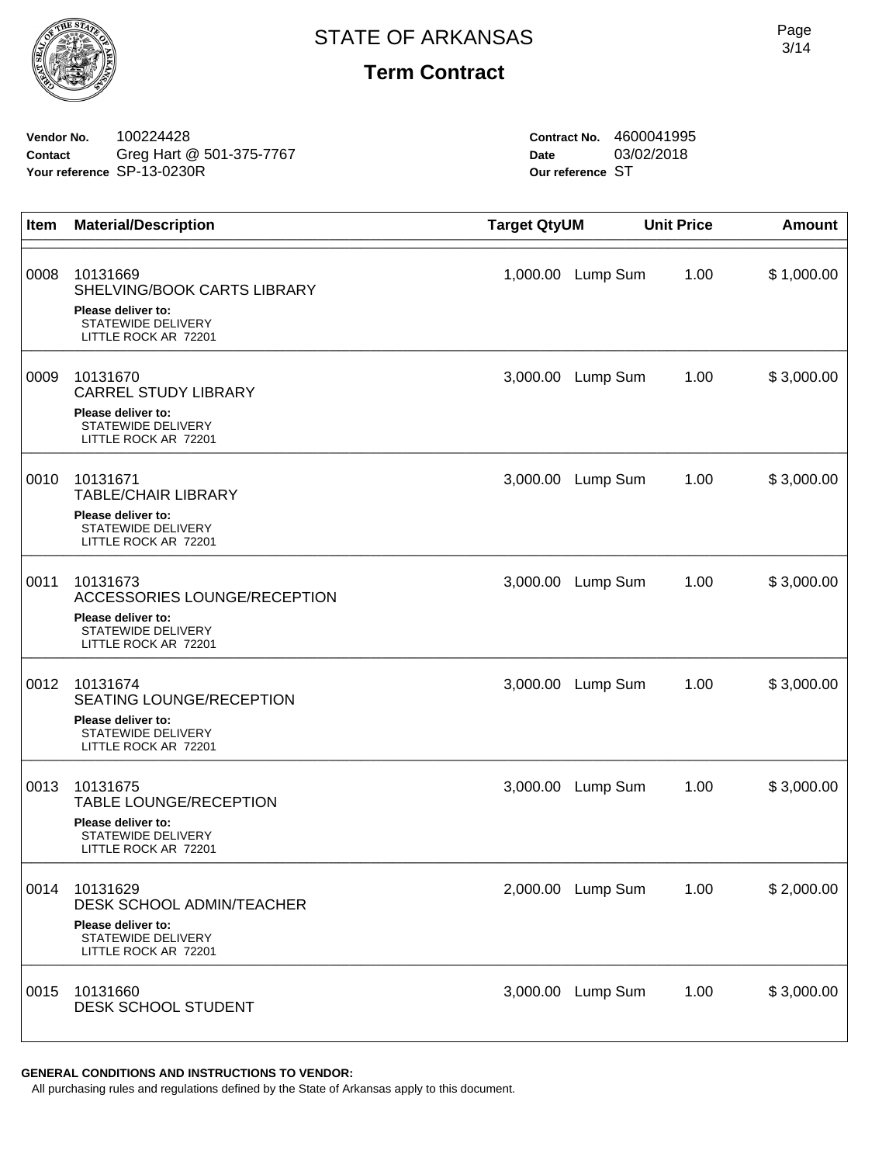

**Vendor No.** 100224428 **Contact** Greg Hart @ 501-375-7767 **Your reference** SP-13-0230R

**Contract No.** 4600041995 **Date** 03/02/2018 **Our reference** ST

| Item | <b>Material/Description</b>                                                                                        | <b>Target QtyUM</b> |                   | <b>Unit Price</b> | <b>Amount</b> |
|------|--------------------------------------------------------------------------------------------------------------------|---------------------|-------------------|-------------------|---------------|
| 0008 | 10131669<br>SHELVING/BOOK CARTS LIBRARY<br>Please deliver to:<br><b>STATEWIDE DELIVERY</b><br>LITTLE ROCK AR 72201 | 1,000.00            | Lump Sum          | 1.00              | \$1,000.00    |
| 0009 | 10131670<br><b>CARREL STUDY LIBRARY</b><br>Please deliver to:<br><b>STATEWIDE DELIVERY</b><br>LITTLE ROCK AR 72201 | 3,000.00            | Lump Sum          | 1.00              | \$3,000.00    |
| 0010 | 10131671<br><b>TABLE/CHAIR LIBRARY</b><br>Please deliver to:<br>STATEWIDE DELIVERY<br>LITTLE ROCK AR 72201         | 3,000.00            | Lump Sum          | 1.00              | \$3,000.00    |
| 0011 | 10131673<br>ACCESSORIES LOUNGE/RECEPTION<br>Please deliver to:<br>STATEWIDE DELIVERY<br>LITTLE ROCK AR 72201       | 3,000.00            | Lump Sum          | 1.00              | \$3,000.00    |
| 0012 | 10131674<br>SEATING LOUNGE/RECEPTION<br>Please deliver to:<br>STATEWIDE DELIVERY<br>LITTLE ROCK AR 72201           | 3,000.00            | Lump Sum          | 1.00              | \$3,000.00    |
| 0013 | 10131675<br>TABLE LOUNGE/RECEPTION<br>Please deliver to:<br><b>STATEWIDE DELIVERY</b><br>LITTLE ROCK AR 72201      | 3,000.00            | Lump Sum          | 1.00              | \$3,000.00    |
| 0014 | 10131629<br>DESK SCHOOL ADMIN/TEACHER<br>Please deliver to:<br><b>STATEWIDE DELIVERY</b><br>LITTLE ROCK AR 72201   |                     | 2,000.00 Lump Sum | 1.00              | \$2,000.00    |
| 0015 | 10131660<br>DESK SCHOOL STUDENT                                                                                    | 3,000.00            | Lump Sum          | 1.00              | \$3,000.00    |

#### **GENERAL CONDITIONS AND INSTRUCTIONS TO VENDOR:**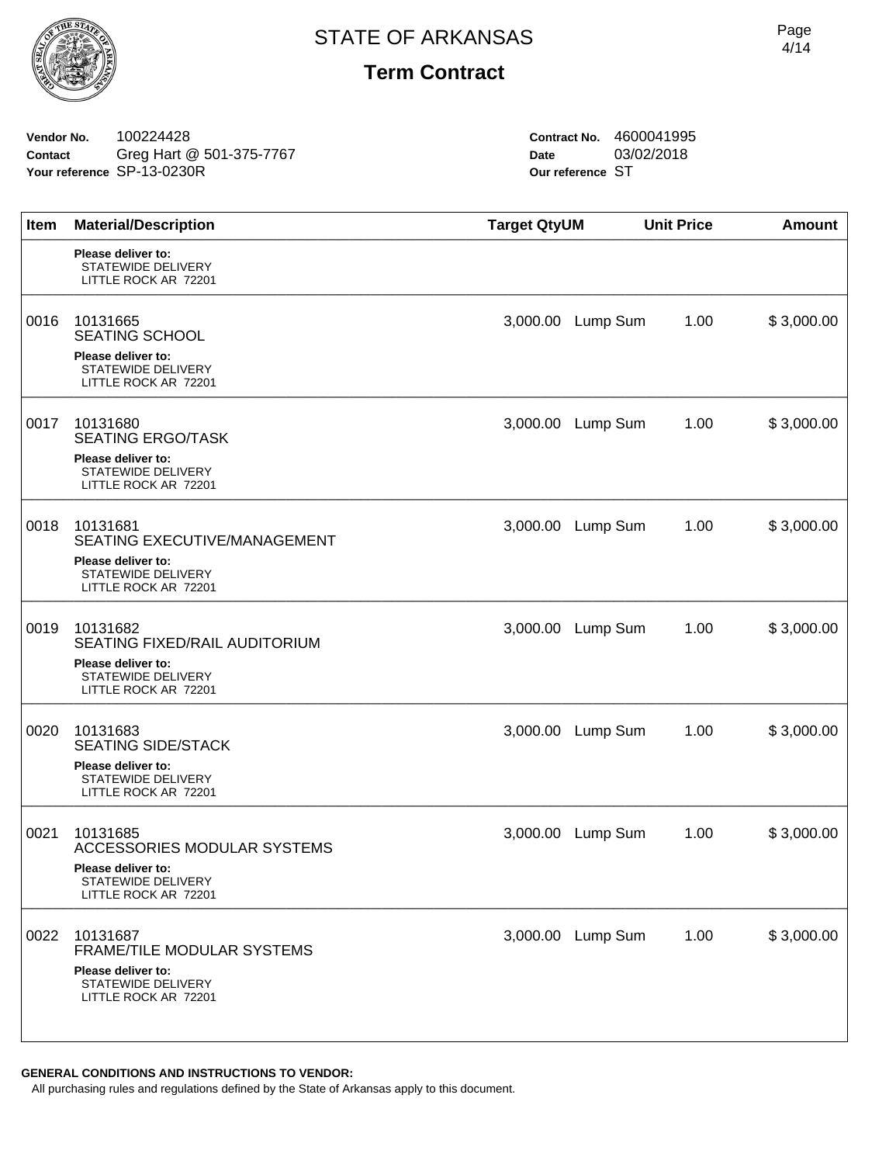**Vendor No.** 100224428 **Contact** Greg Hart @ 501-375-7767 **Your reference** SP-13-0230R

**Contract No.** 4600041995 **Date** 03/02/2018 **Our reference** ST

| Item | <b>Material/Description</b>                                             | <b>Target QtyUM</b> |                   | <b>Unit Price</b> | <b>Amount</b> |
|------|-------------------------------------------------------------------------|---------------------|-------------------|-------------------|---------------|
|      | Please deliver to:<br><b>STATEWIDE DELIVERY</b><br>LITTLE ROCK AR 72201 |                     |                   |                   |               |
| 0016 | 10131665<br><b>SEATING SCHOOL</b><br>Please deliver to:                 | 3,000.00            | Lump Sum          | 1.00              | \$3,000.00    |
|      | STATEWIDE DELIVERY<br>LITTLE ROCK AR 72201                              |                     |                   |                   |               |
| 0017 | 10131680<br><b>SEATING ERGO/TASK</b>                                    | 3,000.00            | Lump Sum          | 1.00              | \$3,000.00    |
|      | Please deliver to:<br>STATEWIDE DELIVERY<br>LITTLE ROCK AR 72201        |                     |                   |                   |               |
| 0018 | 10131681<br>SEATING EXECUTIVE/MANAGEMENT                                | 3,000.00            | Lump Sum          | 1.00              | \$3,000.00    |
|      | Please deliver to:<br>STATEWIDE DELIVERY<br>LITTLE ROCK AR 72201        |                     |                   |                   |               |
| 0019 | 10131682<br>SEATING FIXED/RAIL AUDITORIUM                               | 3,000.00            | Lump Sum          | 1.00              | \$3,000.00    |
|      | Please deliver to:<br><b>STATEWIDE DELIVERY</b><br>LITTLE ROCK AR 72201 |                     |                   |                   |               |
| 0020 | 10131683<br><b>SEATING SIDE/STACK</b>                                   | 3,000.00            | Lump Sum          | 1.00              | \$3,000.00    |
|      | Please deliver to:<br><b>STATEWIDE DELIVERY</b><br>LITTLE ROCK AR 72201 |                     |                   |                   |               |
| 0021 | 10131685<br>ACCESSORIES MODULAR SYSTEMS                                 | 3,000.00            | Lump Sum          | 1.00              | \$3,000.00    |
|      | Please deliver to:<br>STATEWIDE DELIVERY<br>LITTLE ROCK AR 72201        |                     |                   |                   |               |
| 0022 | 10131687<br>FRAME/TILE MODULAR SYSTEMS                                  |                     | 3,000.00 Lump Sum | 1.00              | \$3,000.00    |
|      | Please deliver to:<br>STATEWIDE DELIVERY<br>LITTLE ROCK AR 72201        |                     |                   |                   |               |
|      |                                                                         |                     |                   |                   |               |

**GENERAL CONDITIONS AND INSTRUCTIONS TO VENDOR:**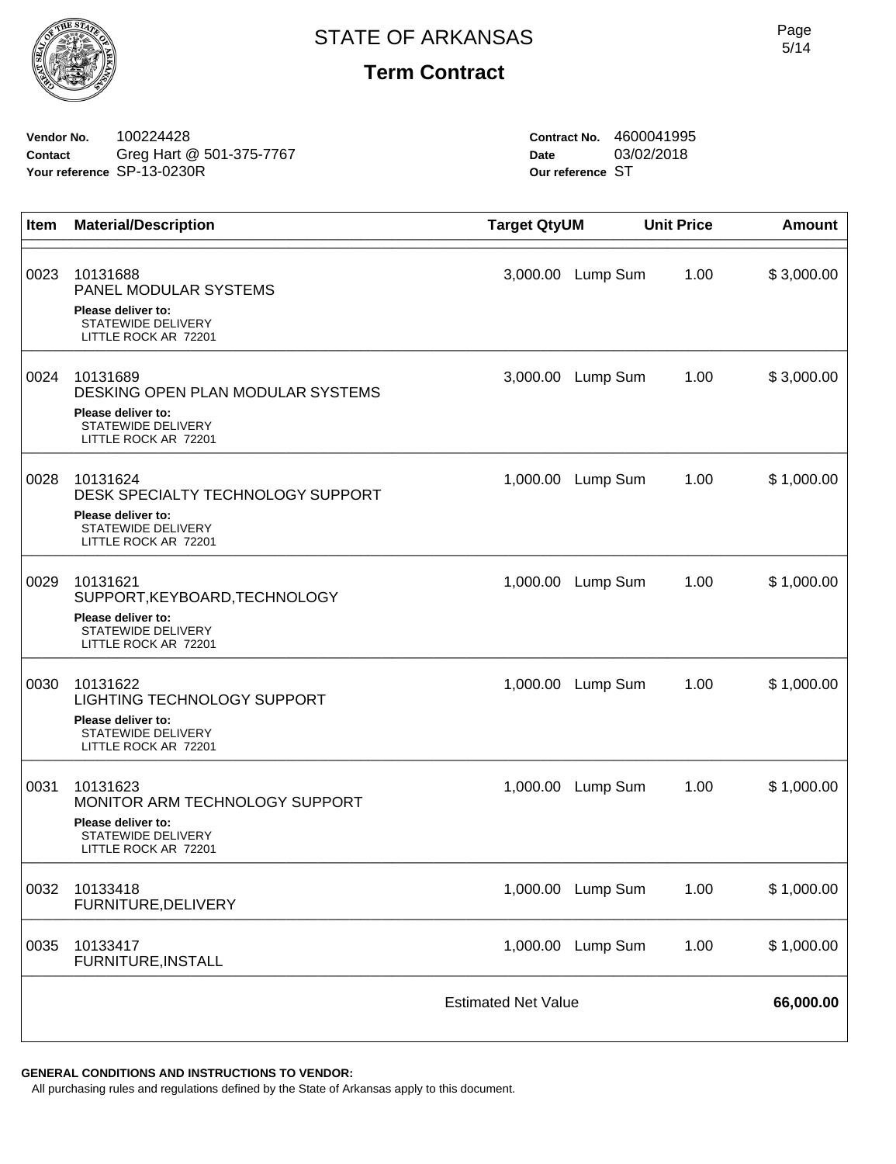

**Vendor No.** 100224428 **Contact** Greg Hart @ 501-375-7767 **Your reference** SP-13-0230R

**Contract No.** 4600041995 **Date** 03/02/2018 **Our reference** ST

| Item | <b>Material/Description</b>                                                                                           | <b>Target QtyUM</b>        |                   | <b>Unit Price</b> | <b>Amount</b> |
|------|-----------------------------------------------------------------------------------------------------------------------|----------------------------|-------------------|-------------------|---------------|
| 0023 | 10131688<br>PANEL MODULAR SYSTEMS<br>Please deliver to:<br><b>STATEWIDE DELIVERY</b><br>LITTLE ROCK AR 72201          | 3,000.00                   | Lump Sum          | 1.00              | \$3,000.00    |
| 0024 | 10131689<br>DESKING OPEN PLAN MODULAR SYSTEMS<br>Please deliver to:<br>STATEWIDE DELIVERY<br>LITTLE ROCK AR 72201     | 3,000.00                   | Lump Sum          | 1.00              | \$3,000.00    |
| 0028 | 10131624<br>DESK SPECIALTY TECHNOLOGY SUPPORT<br>Please deliver to:<br>STATEWIDE DELIVERY<br>LITTLE ROCK AR 72201     | 1,000.00                   | Lump Sum          | 1.00              | \$1,000.00    |
| 0029 | 10131621<br>SUPPORT, KEYBOARD, TECHNOLOGY<br>Please deliver to:<br>STATEWIDE DELIVERY<br>LITTLE ROCK AR 72201         | 1,000.00                   | Lump Sum          | 1.00              | \$1,000.00    |
| 0030 | 10131622<br><b>LIGHTING TECHNOLOGY SUPPORT</b><br>Please deliver to:<br>STATEWIDE DELIVERY<br>LITTLE ROCK AR 72201    | 1,000.00                   | Lump Sum          | 1.00              | \$1,000.00    |
| 0031 | 10131623<br>MONITOR ARM TECHNOLOGY SUPPORT<br>Please deliver to:<br><b>STATEWIDE DELIVERY</b><br>LITTLE ROCK AR 72201 | 1,000.00                   | Lump Sum          | 1.00              | \$1,000.00    |
| 0032 | 10133418<br>FURNITURE, DELIVERY                                                                                       |                            | 1,000.00 Lump Sum | 1.00              | \$1,000.00    |
| 0035 | 10133417<br>FURNITURE, INSTALL                                                                                        | 1,000.00                   | Lump Sum          | 1.00              | \$1,000.00    |
|      |                                                                                                                       | <b>Estimated Net Value</b> |                   |                   | 66,000.00     |

#### **GENERAL CONDITIONS AND INSTRUCTIONS TO VENDOR:**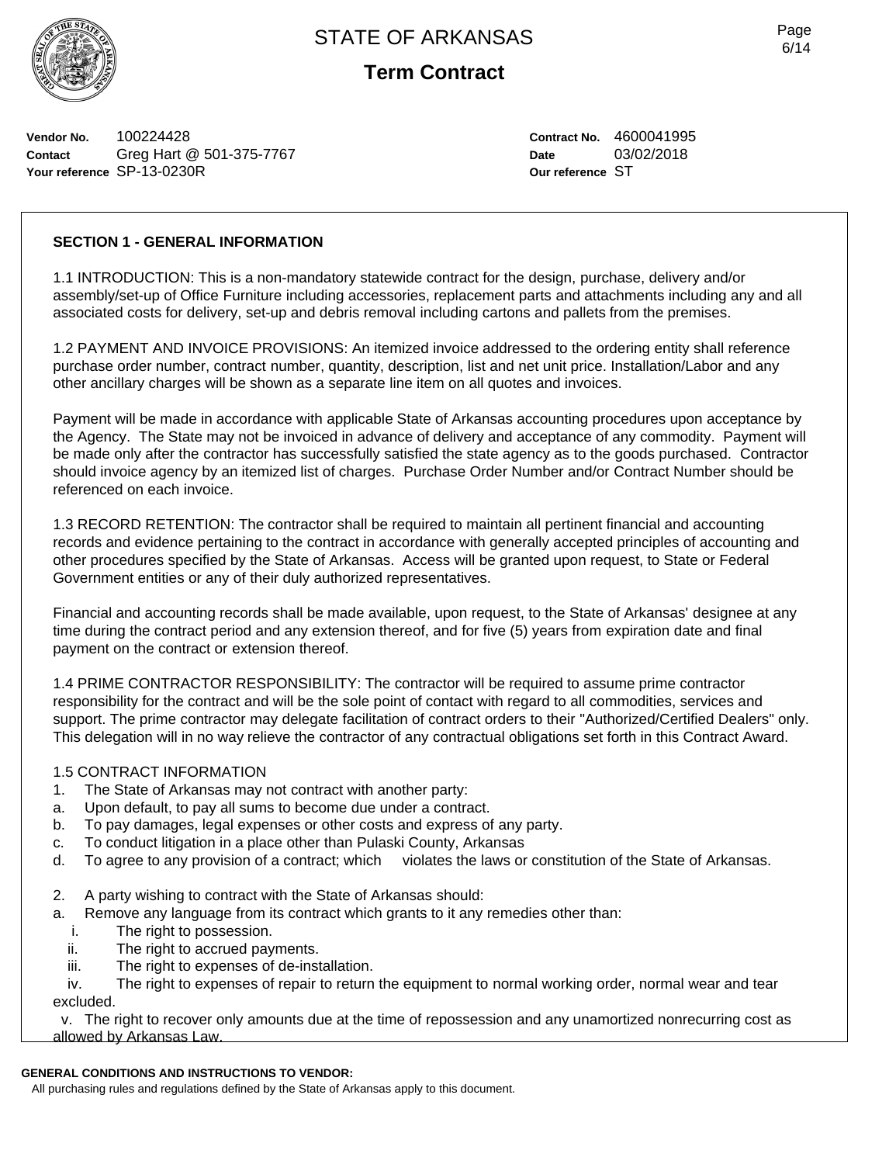

**Term Contract**

**Vendor No.** 100224428 **Contact** Greg Hart @ 501-375-7767 **Your reference** SP-13-0230R

**Contract No.** 4600041995 **Date** 03/02/2018 **Our reference** ST

#### **SECTION 1 - GENERAL INFORMATION**

1.1 INTRODUCTION: This is a non-mandatory statewide contract for the design, purchase, delivery and/or assembly/set-up of Office Furniture including accessories, replacement parts and attachments including any and all associated costs for delivery, set-up and debris removal including cartons and pallets from the premises.

1.2 PAYMENT AND INVOICE PROVISIONS: An itemized invoice addressed to the ordering entity shall reference purchase order number, contract number, quantity, description, list and net unit price. Installation/Labor and any other ancillary charges will be shown as a separate line item on all quotes and invoices.

Payment will be made in accordance with applicable State of Arkansas accounting procedures upon acceptance by the Agency. The State may not be invoiced in advance of delivery and acceptance of any commodity. Payment will be made only after the contractor has successfully satisfied the state agency as to the goods purchased. Contractor should invoice agency by an itemized list of charges. Purchase Order Number and/or Contract Number should be referenced on each invoice.

1.3 RECORD RETENTION: The contractor shall be required to maintain all pertinent financial and accounting records and evidence pertaining to the contract in accordance with generally accepted principles of accounting and other procedures specified by the State of Arkansas. Access will be granted upon request, to State or Federal Government entities or any of their duly authorized representatives.

Financial and accounting records shall be made available, upon request, to the State of Arkansas' designee at any time during the contract period and any extension thereof, and for five (5) years from expiration date and final payment on the contract or extension thereof.

1.4 PRIME CONTRACTOR RESPONSIBILITY: The contractor will be required to assume prime contractor responsibility for the contract and will be the sole point of contact with regard to all commodities, services and support. The prime contractor may delegate facilitation of contract orders to their "Authorized/Certified Dealers" only. This delegation will in no way relieve the contractor of any contractual obligations set forth in this Contract Award.

#### 1.5 CONTRACT INFORMATION

- 1. The State of Arkansas may not contract with another party:
- a. Upon default, to pay all sums to become due under a contract.
- b. To pay damages, legal expenses or other costs and express of any party.
- c. To conduct litigation in a place other than Pulaski County, Arkansas
- d. To agree to any provision of a contract; which violates the laws or constitution of the State of Arkansas.
- 2. A party wishing to contract with the State of Arkansas should:
- a. Remove any language from its contract which grants to it any remedies other than:
	- i. The right to possession.<br>ii. The right to accrued pay
	- The right to accrued payments.
	- iii. The right to expenses of de-installation.

 iv. The right to expenses of repair to return the equipment to normal working order, normal wear and tear excluded.

v. The right to recover only amounts due at the time of repossession and any unamortized nonrecurring cost as

allowed by Arkansas Law.

#### **GENERAL CONDITIONS AND INSTRUCTIONS TO VENDOR:**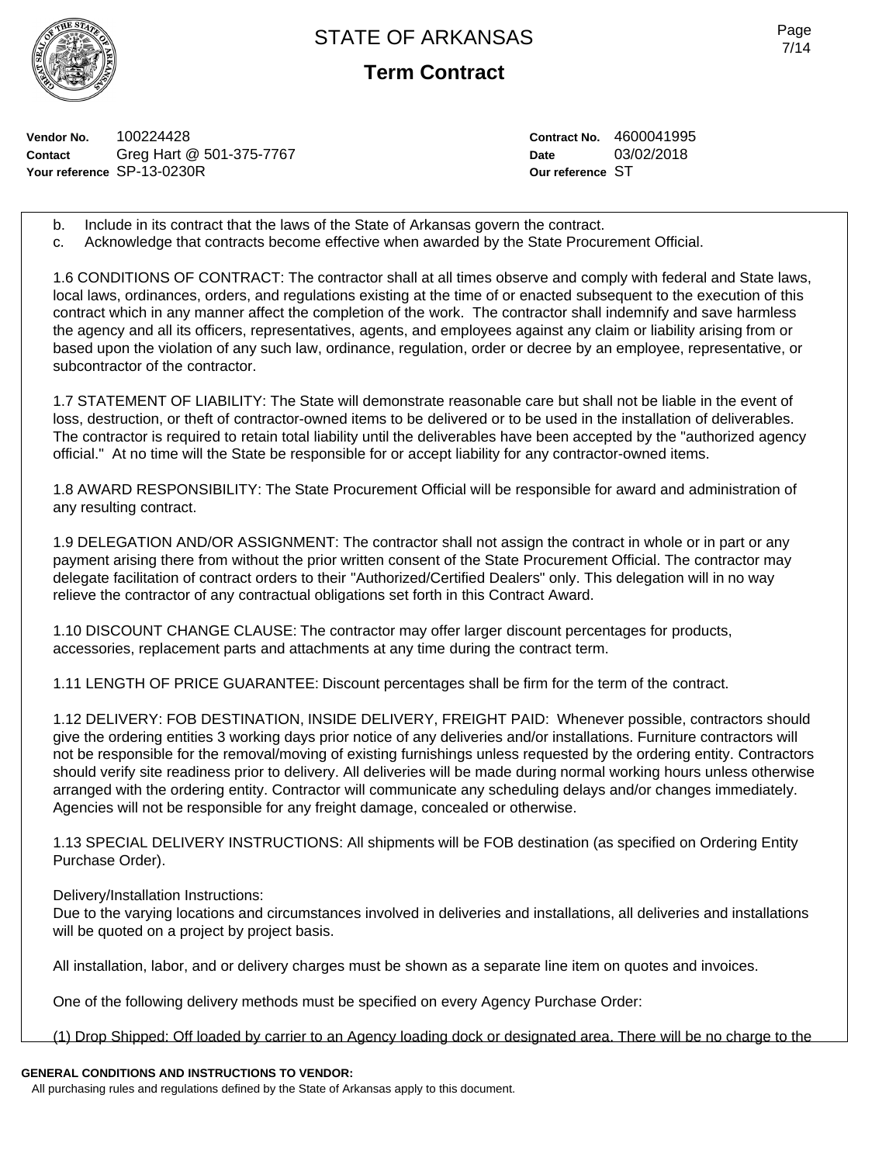

**Term Contract**

**Vendor No.** 100224428 **Contact** Greg Hart @ 501-375-7767 **Your reference** SP-13-0230R

**Contract No.** 4600041995 **Date** 03/02/2018 **Our reference** ST

- b. Include in its contract that the laws of the State of Arkansas govern the contract.
- c. Acknowledge that contracts become effective when awarded by the State Procurement Official.

1.6 CONDITIONS OF CONTRACT: The contractor shall at all times observe and comply with federal and State laws, local laws, ordinances, orders, and regulations existing at the time of or enacted subsequent to the execution of this contract which in any manner affect the completion of the work. The contractor shall indemnify and save harmless the agency and all its officers, representatives, agents, and employees against any claim or liability arising from or based upon the violation of any such law, ordinance, regulation, order or decree by an employee, representative, or subcontractor of the contractor.

1.7 STATEMENT OF LIABILITY: The State will demonstrate reasonable care but shall not be liable in the event of loss, destruction, or theft of contractor-owned items to be delivered or to be used in the installation of deliverables. The contractor is required to retain total liability until the deliverables have been accepted by the "authorized agency official." At no time will the State be responsible for or accept liability for any contractor-owned items.

1.8 AWARD RESPONSIBILITY: The State Procurement Official will be responsible for award and administration of any resulting contract.

1.9 DELEGATION AND/OR ASSIGNMENT: The contractor shall not assign the contract in whole or in part or any payment arising there from without the prior written consent of the State Procurement Official. The contractor may delegate facilitation of contract orders to their "Authorized/Certified Dealers" only. This delegation will in no way relieve the contractor of any contractual obligations set forth in this Contract Award.

1.10 DISCOUNT CHANGE CLAUSE: The contractor may offer larger discount percentages for products, accessories, replacement parts and attachments at any time during the contract term.

1.11 LENGTH OF PRICE GUARANTEE: Discount percentages shall be firm for the term of the contract.

1.12 DELIVERY: FOB DESTINATION, INSIDE DELIVERY, FREIGHT PAID: Whenever possible, contractors should give the ordering entities 3 working days prior notice of any deliveries and/or installations. Furniture contractors will not be responsible for the removal/moving of existing furnishings unless requested by the ordering entity. Contractors should verify site readiness prior to delivery. All deliveries will be made during normal working hours unless otherwise arranged with the ordering entity. Contractor will communicate any scheduling delays and/or changes immediately. Agencies will not be responsible for any freight damage, concealed or otherwise.

1.13 SPECIAL DELIVERY INSTRUCTIONS: All shipments will be FOB destination (as specified on Ordering Entity Purchase Order).

Delivery/Installation Instructions:

Due to the varying locations and circumstances involved in deliveries and installations, all deliveries and installations will be quoted on a project by project basis.

All installation, labor, and or delivery charges must be shown as a separate line item on quotes and invoices.

One of the following delivery methods must be specified on every Agency Purchase Order:

(1) Drop Shipped: Off loaded by carrier to an Agency loading dock or designated area. There will be no charge to the

## **GENERAL CONDITIONS AND INSTRUCTIONS TO VENDOR:**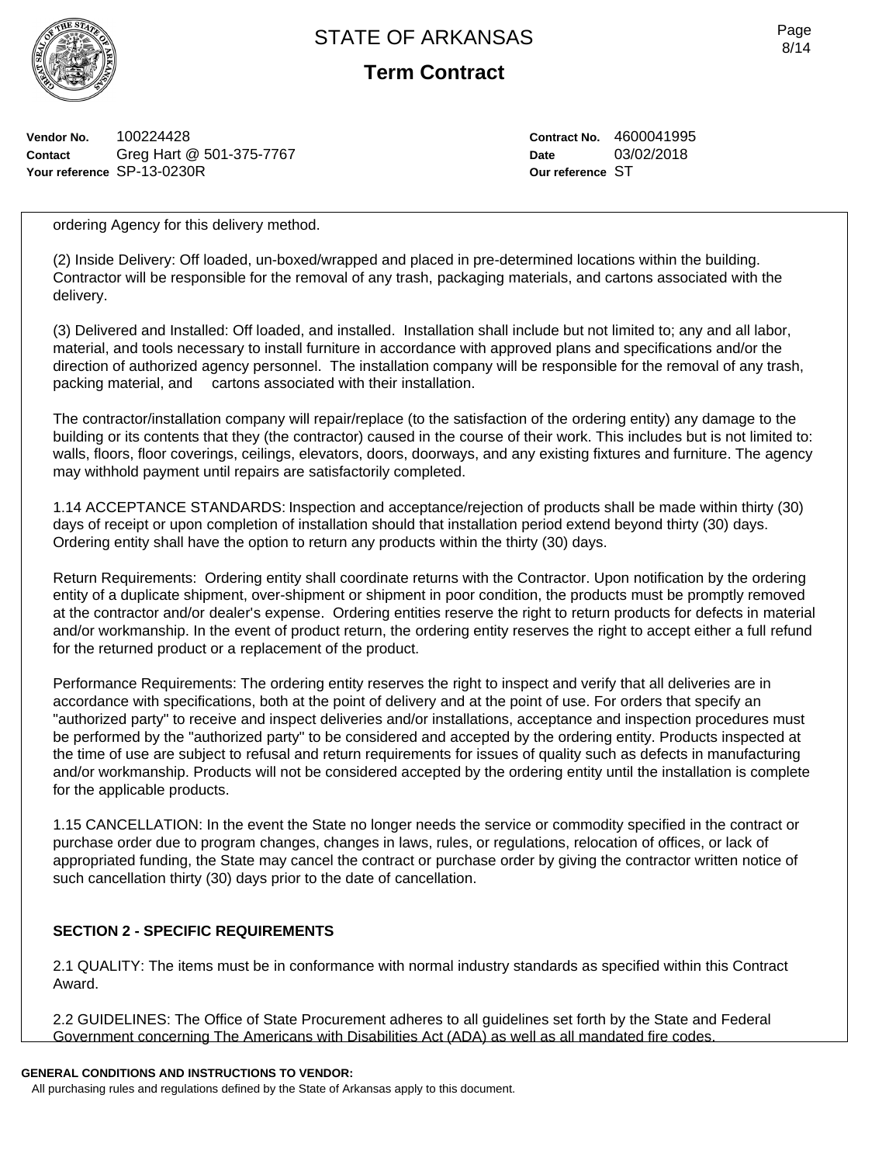

**Term Contract**

**Vendor No.** 100224428 **Contact** Greg Hart @ 501-375-7767 **Your reference** SP-13-0230R

**Contract No.** 4600041995 **Date** 03/02/2018 **Our reference** ST

ordering Agency for this delivery method.

(2) Inside Delivery: Off loaded, un-boxed/wrapped and placed in pre-determined locations within the building. Contractor will be responsible for the removal of any trash, packaging materials, and cartons associated with the delivery.

(3) Delivered and Installed: Off loaded, and installed. Installation shall include but not limited to; any and all labor, material, and tools necessary to install furniture in accordance with approved plans and specifications and/or the direction of authorized agency personnel. The installation company will be responsible for the removal of any trash, packing material, and cartons associated with their installation.

The contractor/installation company will repair/replace (to the satisfaction of the ordering entity) any damage to the building or its contents that they (the contractor) caused in the course of their work. This includes but is not limited to: walls, floors, floor coverings, ceilings, elevators, doors, doorways, and any existing fixtures and furniture. The agency may withhold payment until repairs are satisfactorily completed.

1.14 ACCEPTANCE STANDARDS: Inspection and acceptance/rejection of products shall be made within thirty (30) days of receipt or upon completion of installation should that installation period extend beyond thirty (30) days. Ordering entity shall have the option to return any products within the thirty (30) days.

Return Requirements: Ordering entity shall coordinate returns with the Contractor. Upon notification by the ordering entity of a duplicate shipment, over-shipment or shipment in poor condition, the products must be promptly removed at the contractor and/or dealer's expense. Ordering entities reserve the right to return products for defects in material and/or workmanship. In the event of product return, the ordering entity reserves the right to accept either a full refund for the returned product or a replacement of the product.

Performance Requirements: The ordering entity reserves the right to inspect and verify that all deliveries are in accordance with specifications, both at the point of delivery and at the point of use. For orders that specify an "authorized party" to receive and inspect deliveries and/or installations, acceptance and inspection procedures must be performed by the "authorized party" to be considered and accepted by the ordering entity. Products inspected at the time of use are subject to refusal and return requirements for issues of quality such as defects in manufacturing and/or workmanship. Products will not be considered accepted by the ordering entity until the installation is complete for the applicable products.

1.15 CANCELLATION: In the event the State no longer needs the service or commodity specified in the contract or purchase order due to program changes, changes in laws, rules, or regulations, relocation of offices, or lack of appropriated funding, the State may cancel the contract or purchase order by giving the contractor written notice of such cancellation thirty (30) days prior to the date of cancellation.

## **SECTION 2 - SPECIFIC REQUIREMENTS**

2.1 QUALITY: The items must be in conformance with normal industry standards as specified within this Contract Award.

2.2 GUIDELINES: The Office of State Procurement adheres to all guidelines set forth by the State and Federal Government concerning The Americans with Disabilities Act (ADA) as well as all mandated fire codes.

## **GENERAL CONDITIONS AND INSTRUCTIONS TO VENDOR:**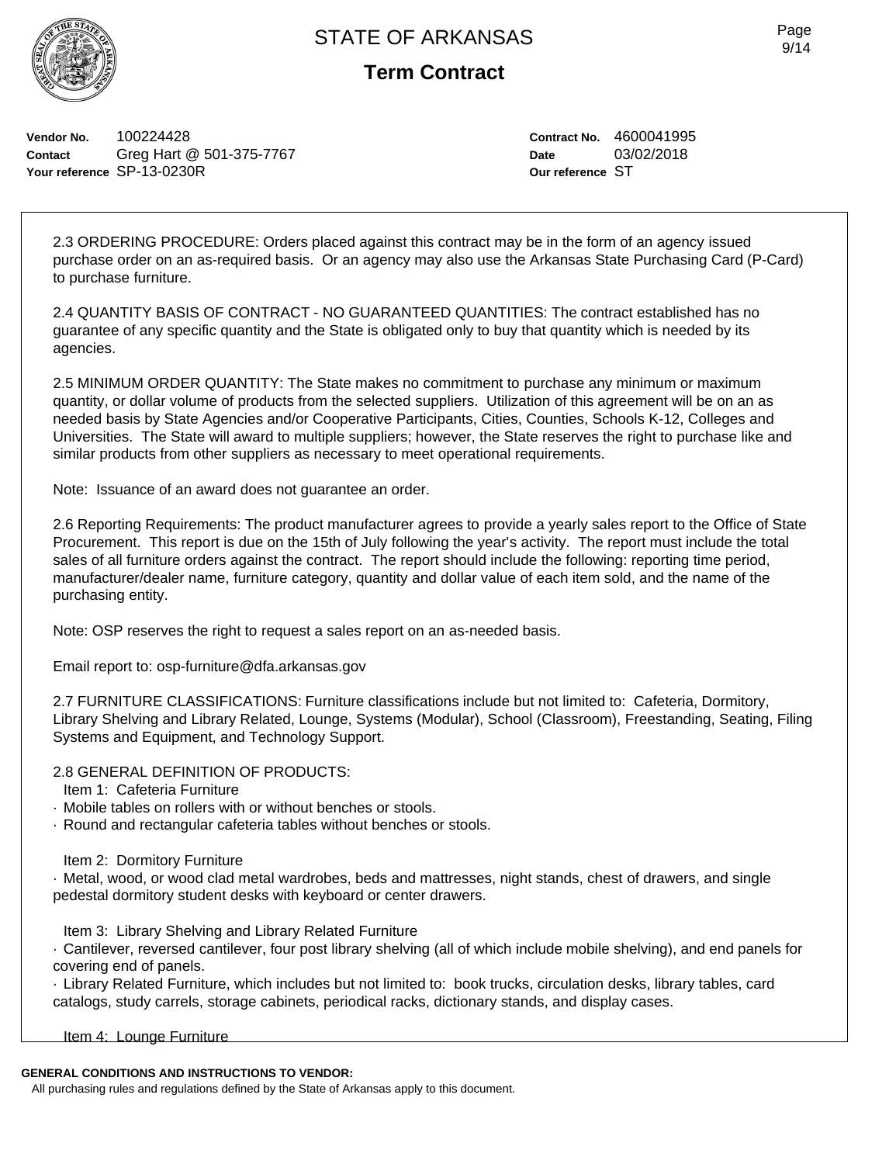

**Term Contract**

**Vendor No.** 100224428 **Contact** Greg Hart @ 501-375-7767 **Your reference** SP-13-0230R

**Contract No.** 4600041995 **Date** 03/02/2018 **Our reference** ST

2.3 ORDERING PROCEDURE: Orders placed against this contract may be in the form of an agency issued purchase order on an as-required basis. Or an agency may also use the Arkansas State Purchasing Card (P-Card) to purchase furniture.

2.4 QUANTITY BASIS OF CONTRACT - NO GUARANTEED QUANTITIES: The contract established has no guarantee of any specific quantity and the State is obligated only to buy that quantity which is needed by its agencies.

2.5 MINIMUM ORDER QUANTITY: The State makes no commitment to purchase any minimum or maximum quantity, or dollar volume of products from the selected suppliers. Utilization of this agreement will be on an as needed basis by State Agencies and/or Cooperative Participants, Cities, Counties, Schools K-12, Colleges and Universities. The State will award to multiple suppliers; however, the State reserves the right to purchase like and similar products from other suppliers as necessary to meet operational requirements.

Note: Issuance of an award does not guarantee an order.

2.6 Reporting Requirements: The product manufacturer agrees to provide a yearly sales report to the Office of State Procurement. This report is due on the 15th of July following the year's activity. The report must include the total sales of all furniture orders against the contract. The report should include the following: reporting time period, manufacturer/dealer name, furniture category, quantity and dollar value of each item sold, and the name of the purchasing entity.

Note: OSP reserves the right to request a sales report on an as-needed basis.

Email report to: osp-furniture@dfa.arkansas.gov

2.7 FURNITURE CLASSIFICATIONS: Furniture classifications include but not limited to: Cafeteria, Dormitory, Library Shelving and Library Related, Lounge, Systems (Modular), School (Classroom), Freestanding, Seating, Filing Systems and Equipment, and Technology Support.

2.8 GENERAL DEFINITION OF PRODUCTS:

Item 1: Cafeteria Furniture

- · Mobile tables on rollers with or without benches or stools.
- · Round and rectangular cafeteria tables without benches or stools.

Item 2: Dormitory Furniture

· Metal, wood, or wood clad metal wardrobes, beds and mattresses, night stands, chest of drawers, and single pedestal dormitory student desks with keyboard or center drawers.

Item 3: Library Shelving and Library Related Furniture

· Cantilever, reversed cantilever, four post library shelving (all of which include mobile shelving), and end panels for covering end of panels.

· Library Related Furniture, which includes but not limited to: book trucks, circulation desks, library tables, card catalogs, study carrels, storage cabinets, periodical racks, dictionary stands, and display cases.

Item 4: Lounge Furniture

## **GENERAL CONDITIONS AND INSTRUCTIONS TO VENDOR:**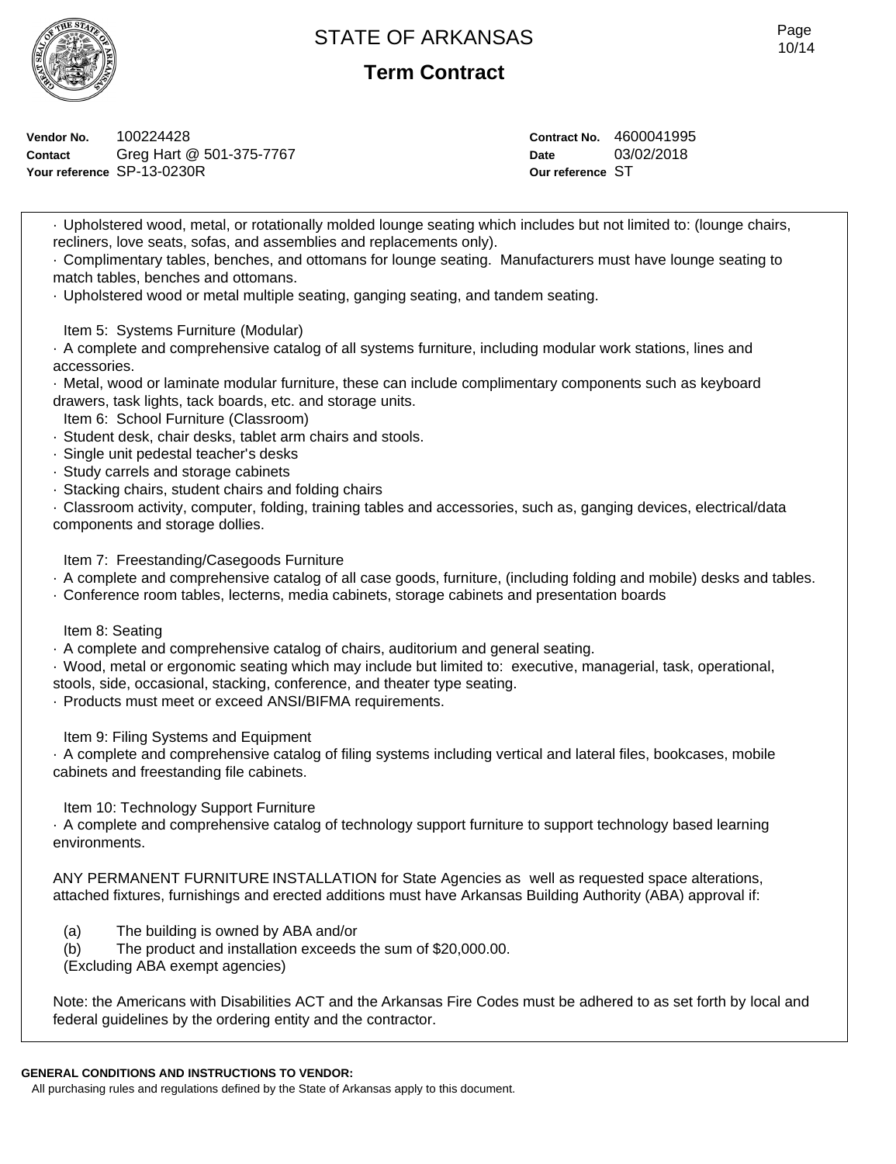

**Term Contract**

**Vendor No.** 100224428 **Contact** Greg Hart @ 501-375-7767 **Your reference** SP-13-0230R

**Contract No.** 4600041995 **Date** 03/02/2018 **Our reference** ST

· Upholstered wood, metal, or rotationally molded lounge seating which includes but not limited to: (lounge chairs, recliners, love seats, sofas, and assemblies and replacements only).

· Complimentary tables, benches, and ottomans for lounge seating. Manufacturers must have lounge seating to match tables, benches and ottomans.

· Upholstered wood or metal multiple seating, ganging seating, and tandem seating.

Item 5: Systems Furniture (Modular)

· A complete and comprehensive catalog of all systems furniture, including modular work stations, lines and accessories.

· Metal, wood or laminate modular furniture, these can include complimentary components such as keyboard drawers, task lights, tack boards, etc. and storage units.

Item 6: School Furniture (Classroom)

- · Student desk, chair desks, tablet arm chairs and stools.
- · Single unit pedestal teacher's desks
- · Study carrels and storage cabinets
- · Stacking chairs, student chairs and folding chairs

· Classroom activity, computer, folding, training tables and accessories, such as, ganging devices, electrical/data components and storage dollies.

Item 7: Freestanding/Casegoods Furniture

· A complete and comprehensive catalog of all case goods, furniture, (including folding and mobile) desks and tables.

· Conference room tables, lecterns, media cabinets, storage cabinets and presentation boards

Item 8: Seating

· A complete and comprehensive catalog of chairs, auditorium and general seating.

· Wood, metal or ergonomic seating which may include but limited to: executive, managerial, task, operational,

stools, side, occasional, stacking, conference, and theater type seating.

· Products must meet or exceed ANSI/BIFMA requirements.

Item 9: Filing Systems and Equipment

· A complete and comprehensive catalog of filing systems including vertical and lateral files, bookcases, mobile cabinets and freestanding file cabinets.

Item 10: Technology Support Furniture

· A complete and comprehensive catalog of technology support furniture to support technology based learning environments.

ANY PERMANENT FURNITURE INSTALLATION for State Agencies as well as requested space alterations, attached fixtures, furnishings and erected additions must have Arkansas Building Authority (ABA) approval if:

(a) The building is owned by ABA and/or

(b) The product and installation exceeds the sum of \$20,000.00.

(Excluding ABA exempt agencies)

Note: the Americans with Disabilities ACT and the Arkansas Fire Codes must be adhered to as set forth by local and federal guidelines by the ordering entity and the contractor.

#### **GENERAL CONDITIONS AND INSTRUCTIONS TO VENDOR:**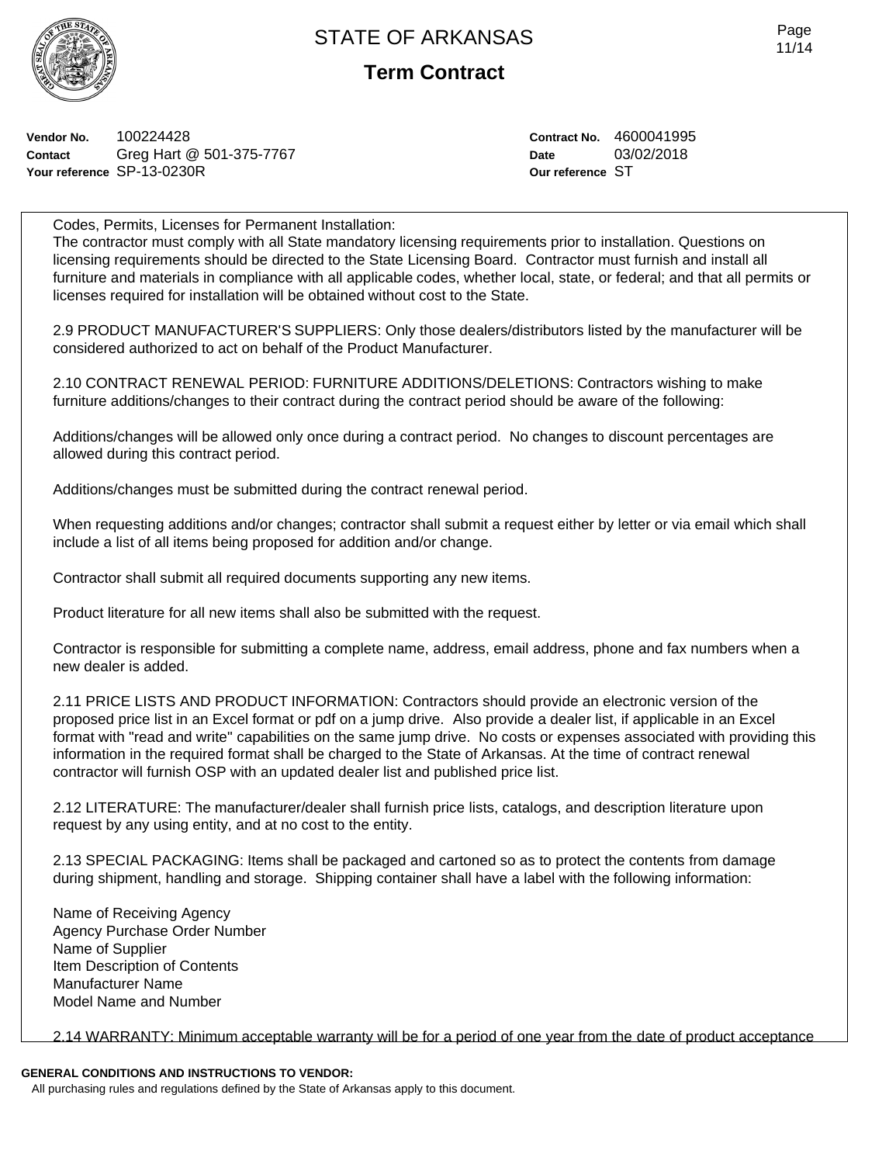

**Term Contract**

**Vendor No.** 100224428 **Contact** Greg Hart @ 501-375-7767 **Your reference** SP-13-0230R

**Contract No.** 4600041995 **Date** 03/02/2018 **Our reference** ST

Codes, Permits, Licenses for Permanent Installation: The contractor must comply with all State mandatory licensing requirements prior to installation. Questions on licensing requirements should be directed to the State Licensing Board. Contractor must furnish and install all furniture and materials in compliance with all applicable codes, whether local, state, or federal; and that all permits or licenses required for installation will be obtained without cost to the State.

2.9 PRODUCT MANUFACTURER'S SUPPLIERS: Only those dealers/distributors listed by the manufacturer will be considered authorized to act on behalf of the Product Manufacturer.

2.10 CONTRACT RENEWAL PERIOD: FURNITURE ADDITIONS/DELETIONS: Contractors wishing to make furniture additions/changes to their contract during the contract period should be aware of the following:

Additions/changes will be allowed only once during a contract period. No changes to discount percentages are allowed during this contract period.

Additions/changes must be submitted during the contract renewal period.

When requesting additions and/or changes; contractor shall submit a request either by letter or via email which shall include a list of all items being proposed for addition and/or change.

Contractor shall submit all required documents supporting any new items.

Product literature for all new items shall also be submitted with the request.

Contractor is responsible for submitting a complete name, address, email address, phone and fax numbers when a new dealer is added.

2.11 PRICE LISTS AND PRODUCT INFORMATION: Contractors should provide an electronic version of the proposed price list in an Excel format or pdf on a jump drive. Also provide a dealer list, if applicable in an Excel format with "read and write" capabilities on the same jump drive. No costs or expenses associated with providing this information in the required format shall be charged to the State of Arkansas. At the time of contract renewal contractor will furnish OSP with an updated dealer list and published price list.

2.12 LITERATURE: The manufacturer/dealer shall furnish price lists, catalogs, and description literature upon request by any using entity, and at no cost to the entity.

2.13 SPECIAL PACKAGING: Items shall be packaged and cartoned so as to protect the contents from damage during shipment, handling and storage. Shipping container shall have a label with the following information:

Name of Receiving Agency Agency Purchase Order Number Name of Supplier Item Description of Contents Manufacturer Name Model Name and Number

2.14 WARRANTY: Minimum acceptable warranty will be for a period of one year from the date of product acceptance

#### **GENERAL CONDITIONS AND INSTRUCTIONS TO VENDOR:**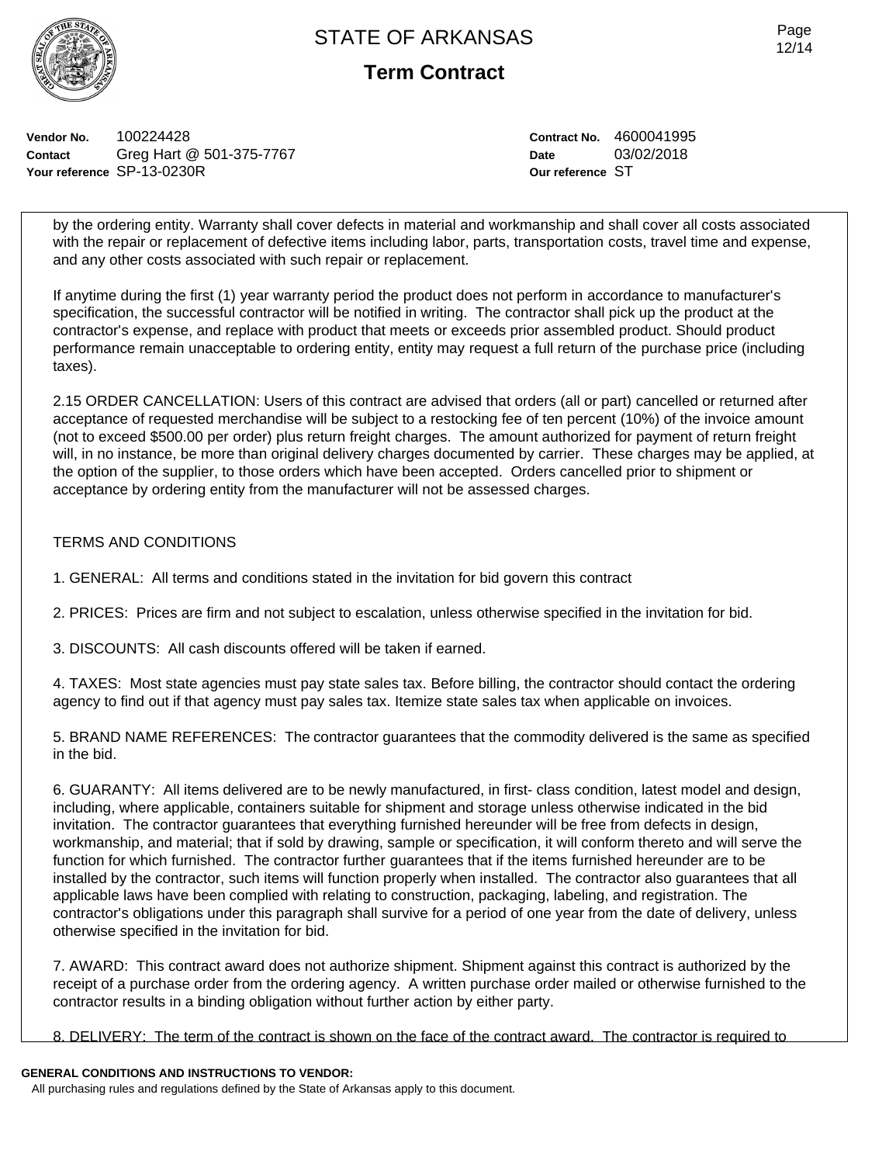

**Term Contract**

**Vendor No.** 100224428 **Contact** Greg Hart @ 501-375-7767 **Your reference** SP-13-0230R

**Contract No.** 4600041995 **Date** 03/02/2018 **Our reference** ST

by the ordering entity. Warranty shall cover defects in material and workmanship and shall cover all costs associated with the repair or replacement of defective items including labor, parts, transportation costs, travel time and expense, and any other costs associated with such repair or replacement.

If anytime during the first (1) year warranty period the product does not perform in accordance to manufacturer's specification, the successful contractor will be notified in writing. The contractor shall pick up the product at the contractor's expense, and replace with product that meets or exceeds prior assembled product. Should product performance remain unacceptable to ordering entity, entity may request a full return of the purchase price (including taxes).

2.15 ORDER CANCELLATION: Users of this contract are advised that orders (all or part) cancelled or returned after acceptance of requested merchandise will be subject to a restocking fee of ten percent (10%) of the invoice amount (not to exceed \$500.00 per order) plus return freight charges. The amount authorized for payment of return freight will, in no instance, be more than original delivery charges documented by carrier. These charges may be applied, at the option of the supplier, to those orders which have been accepted. Orders cancelled prior to shipment or acceptance by ordering entity from the manufacturer will not be assessed charges.

## TERMS AND CONDITIONS

- 1. GENERAL: All terms and conditions stated in the invitation for bid govern this contract
- 2. PRICES: Prices are firm and not subject to escalation, unless otherwise specified in the invitation for bid.
- 3. DISCOUNTS: All cash discounts offered will be taken if earned.

4. TAXES: Most state agencies must pay state sales tax. Before billing, the contractor should contact the ordering agency to find out if that agency must pay sales tax. Itemize state sales tax when applicable on invoices.

5. BRAND NAME REFERENCES: The contractor guarantees that the commodity delivered is the same as specified in the bid.

6. GUARANTY: All items delivered are to be newly manufactured, in first- class condition, latest model and design, including, where applicable, containers suitable for shipment and storage unless otherwise indicated in the bid invitation. The contractor guarantees that everything furnished hereunder will be free from defects in design, workmanship, and material; that if sold by drawing, sample or specification, it will conform thereto and will serve the function for which furnished. The contractor further guarantees that if the items furnished hereunder are to be installed by the contractor, such items will function properly when installed. The contractor also guarantees that all applicable laws have been complied with relating to construction, packaging, labeling, and registration. The contractor's obligations under this paragraph shall survive for a period of one year from the date of delivery, unless otherwise specified in the invitation for bid.

7. AWARD: This contract award does not authorize shipment. Shipment against this contract is authorized by the receipt of a purchase order from the ordering agency. A written purchase order mailed or otherwise furnished to the contractor results in a binding obligation without further action by either party.

8. DELIVERY: The term of the contract is shown on the face of the contract award. The contractor is required to

#### **GENERAL CONDITIONS AND INSTRUCTIONS TO VENDOR:**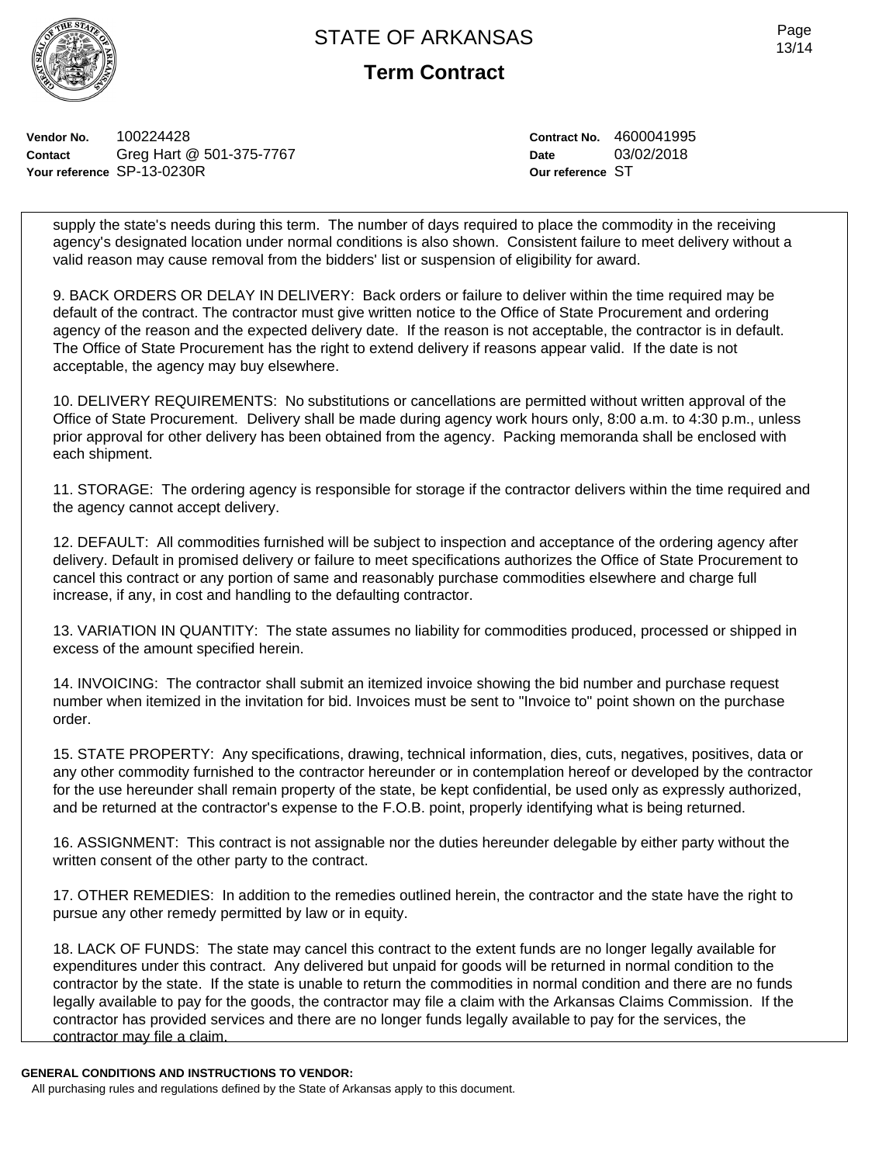

**Term Contract**

**Vendor No.** 100224428 **Contact** Greg Hart @ 501-375-7767 **Your reference** SP-13-0230R

**Contract No.** 4600041995 **Date** 03/02/2018 **Our reference** ST

supply the state's needs during this term. The number of days required to place the commodity in the receiving agency's designated location under normal conditions is also shown. Consistent failure to meet delivery without a valid reason may cause removal from the bidders' list or suspension of eligibility for award.

9. BACK ORDERS OR DELAY IN DELIVERY: Back orders or failure to deliver within the time required may be default of the contract. The contractor must give written notice to the Office of State Procurement and ordering agency of the reason and the expected delivery date. If the reason is not acceptable, the contractor is in default. The Office of State Procurement has the right to extend delivery if reasons appear valid. If the date is not acceptable, the agency may buy elsewhere.

10. DELIVERY REQUIREMENTS: No substitutions or cancellations are permitted without written approval of the Office of State Procurement. Delivery shall be made during agency work hours only, 8:00 a.m. to 4:30 p.m., unless prior approval for other delivery has been obtained from the agency. Packing memoranda shall be enclosed with each shipment.

11. STORAGE: The ordering agency is responsible for storage if the contractor delivers within the time required and the agency cannot accept delivery.

12. DEFAULT: All commodities furnished will be subject to inspection and acceptance of the ordering agency after delivery. Default in promised delivery or failure to meet specifications authorizes the Office of State Procurement to cancel this contract or any portion of same and reasonably purchase commodities elsewhere and charge full increase, if any, in cost and handling to the defaulting contractor.

13. VARIATION IN QUANTITY: The state assumes no liability for commodities produced, processed or shipped in excess of the amount specified herein.

14. INVOICING: The contractor shall submit an itemized invoice showing the bid number and purchase request number when itemized in the invitation for bid. Invoices must be sent to "Invoice to" point shown on the purchase order.

15. STATE PROPERTY: Any specifications, drawing, technical information, dies, cuts, negatives, positives, data or any other commodity furnished to the contractor hereunder or in contemplation hereof or developed by the contractor for the use hereunder shall remain property of the state, be kept confidential, be used only as expressly authorized, and be returned at the contractor's expense to the F.O.B. point, properly identifying what is being returned.

16. ASSIGNMENT: This contract is not assignable nor the duties hereunder delegable by either party without the written consent of the other party to the contract.

17. OTHER REMEDIES: In addition to the remedies outlined herein, the contractor and the state have the right to pursue any other remedy permitted by law or in equity.

18. LACK OF FUNDS: The state may cancel this contract to the extent funds are no longer legally available for expenditures under this contract. Any delivered but unpaid for goods will be returned in normal condition to the contractor by the state. If the state is unable to return the commodities in normal condition and there are no funds legally available to pay for the goods, the contractor may file a claim with the Arkansas Claims Commission. If the contractor has provided services and there are no longer funds legally available to pay for the services, the contractor may file a claim.

#### **GENERAL CONDITIONS AND INSTRUCTIONS TO VENDOR:**